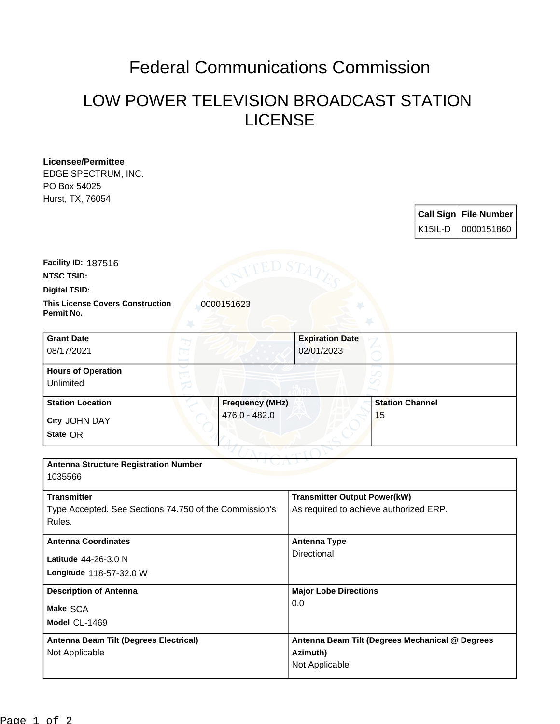## Federal Communications Commission

## LOW POWER TELEVISION BROADCAST STATION LICENSE

| <b>Licensee/Permittee</b>                                           |                        |                                                 |                        |                     |                              |
|---------------------------------------------------------------------|------------------------|-------------------------------------------------|------------------------|---------------------|------------------------------|
| EDGE SPECTRUM, INC.                                                 |                        |                                                 |                        |                     |                              |
| PO Box 54025                                                        |                        |                                                 |                        |                     |                              |
| Hurst, TX, 76054                                                    |                        |                                                 |                        |                     |                              |
|                                                                     |                        |                                                 |                        |                     | <b>Call Sign File Number</b> |
|                                                                     |                        |                                                 |                        | K <sub>15IL-D</sub> | 0000151860                   |
| Facility ID: 187516                                                 | ED S $\rm{T}$          |                                                 |                        |                     |                              |
| <b>NTSC TSID:</b>                                                   |                        |                                                 |                        |                     |                              |
| <b>Digital TSID:</b>                                                |                        |                                                 |                        |                     |                              |
| <b>This License Covers Construction</b><br>0000151623<br>Permit No. |                        |                                                 |                        |                     |                              |
| <b>Grant Date</b>                                                   |                        | <b>Expiration Date</b>                          |                        |                     |                              |
| 08/17/2021                                                          |                        | 02/01/2023                                      |                        |                     |                              |
| <b>Hours of Operation</b>                                           |                        |                                                 |                        |                     |                              |
| Unlimited                                                           |                        |                                                 |                        |                     |                              |
| <b>Station Location</b>                                             | <b>Frequency (MHz)</b> |                                                 | <b>Station Channel</b> |                     |                              |
| City JOHN DAY                                                       | 476.0 - 482.0          |                                                 | 15                     |                     |                              |
| State OR                                                            |                        |                                                 |                        |                     |                              |
|                                                                     |                        |                                                 |                        |                     |                              |
| <b>Antenna Structure Registration Number</b><br>1035566             |                        |                                                 |                        |                     |                              |
| <b>Transmitter</b>                                                  |                        | <b>Transmitter Output Power(kW)</b>             |                        |                     |                              |
| Type Accepted. See Sections 74.750 of the Commission's              |                        | As required to achieve authorized ERP.          |                        |                     |                              |
| Rules.                                                              |                        |                                                 |                        |                     |                              |
| <b>Antenna Coordinates</b>                                          |                        | <b>Antenna Type</b>                             |                        |                     |                              |
| Latitude 44-26-3.0 N                                                |                        | Directional                                     |                        |                     |                              |
| Longitude 118-57-32.0 W                                             |                        |                                                 |                        |                     |                              |
|                                                                     |                        |                                                 |                        |                     |                              |
| <b>Description of Antenna</b>                                       |                        | <b>Major Lobe Directions</b><br>0.0             |                        |                     |                              |
| Make SCA                                                            |                        |                                                 |                        |                     |                              |
| Model CL-1469                                                       |                        |                                                 |                        |                     |                              |
| <b>Antenna Beam Tilt (Degrees Electrical)</b>                       |                        | Antenna Beam Tilt (Degrees Mechanical @ Degrees |                        |                     |                              |
| Not Applicable                                                      |                        | Azimuth)                                        |                        |                     |                              |
|                                                                     |                        | Not Applicable                                  |                        |                     |                              |